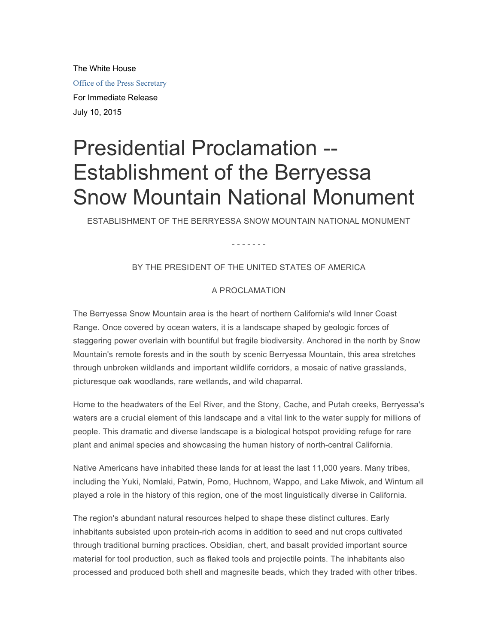The White House

Office of the Press Secretary

For Immediate Release July 10, 2015

## Presidential Proclamation -- Establishment of the Berryessa Snow Mountain National Monument

ESTABLISHMENT OF THE BERRYESSA SNOW MOUNTAIN NATIONAL MONUMENT

- - - - - - -

## BY THE PRESIDENT OF THE UNITED STATES OF AMERICA

## A PROCLAMATION

The Berryessa Snow Mountain area is the heart of northern California's wild Inner Coast Range. Once covered by ocean waters, it is a landscape shaped by geologic forces of staggering power overlain with bountiful but fragile biodiversity. Anchored in the north by Snow Mountain's remote forests and in the south by scenic Berryessa Mountain, this area stretches through unbroken wildlands and important wildlife corridors, a mosaic of native grasslands, picturesque oak woodlands, rare wetlands, and wild chaparral.

Home to the headwaters of the Eel River, and the Stony, Cache, and Putah creeks, Berryessa's waters are a crucial element of this landscape and a vital link to the water supply for millions of people. This dramatic and diverse landscape is a biological hotspot providing refuge for rare plant and animal species and showcasing the human history of north-central California.

Native Americans have inhabited these lands for at least the last 11,000 years. Many tribes, including the Yuki, Nomlaki, Patwin, Pomo, Huchnom, Wappo, and Lake Miwok, and Wintum all played a role in the history of this region, one of the most linguistically diverse in California.

The region's abundant natural resources helped to shape these distinct cultures. Early inhabitants subsisted upon protein-rich acorns in addition to seed and nut crops cultivated through traditional burning practices. Obsidian, chert, and basalt provided important source material for tool production, such as flaked tools and projectile points. The inhabitants also processed and produced both shell and magnesite beads, which they traded with other tribes.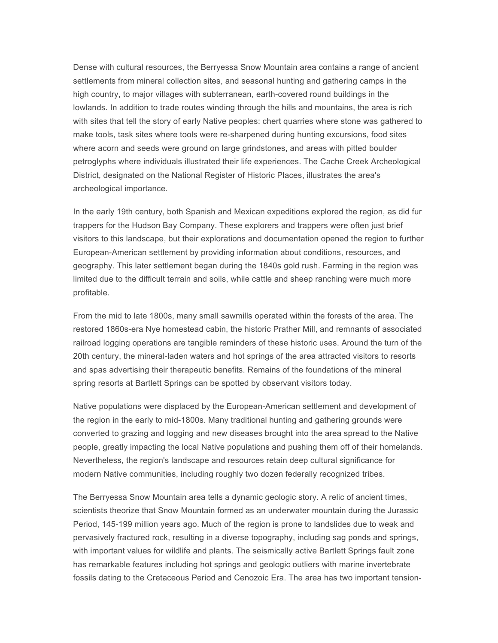Dense with cultural resources, the Berryessa Snow Mountain area contains a range of ancient settlements from mineral collection sites, and seasonal hunting and gathering camps in the high country, to major villages with subterranean, earth-covered round buildings in the lowlands. In addition to trade routes winding through the hills and mountains, the area is rich with sites that tell the story of early Native peoples: chert quarries where stone was gathered to make tools, task sites where tools were re-sharpened during hunting excursions, food sites where acorn and seeds were ground on large grindstones, and areas with pitted boulder petroglyphs where individuals illustrated their life experiences. The Cache Creek Archeological District, designated on the National Register of Historic Places, illustrates the area's archeological importance.

In the early 19th century, both Spanish and Mexican expeditions explored the region, as did fur trappers for the Hudson Bay Company. These explorers and trappers were often just brief visitors to this landscape, but their explorations and documentation opened the region to further European-American settlement by providing information about conditions, resources, and geography. This later settlement began during the 1840s gold rush. Farming in the region was limited due to the difficult terrain and soils, while cattle and sheep ranching were much more profitable.

From the mid to late 1800s, many small sawmills operated within the forests of the area. The restored 1860s-era Nye homestead cabin, the historic Prather Mill, and remnants of associated railroad logging operations are tangible reminders of these historic uses. Around the turn of the 20th century, the mineral-laden waters and hot springs of the area attracted visitors to resorts and spas advertising their therapeutic benefits. Remains of the foundations of the mineral spring resorts at Bartlett Springs can be spotted by observant visitors today.

Native populations were displaced by the European-American settlement and development of the region in the early to mid-1800s. Many traditional hunting and gathering grounds were converted to grazing and logging and new diseases brought into the area spread to the Native people, greatly impacting the local Native populations and pushing them off of their homelands. Nevertheless, the region's landscape and resources retain deep cultural significance for modern Native communities, including roughly two dozen federally recognized tribes.

The Berryessa Snow Mountain area tells a dynamic geologic story. A relic of ancient times, scientists theorize that Snow Mountain formed as an underwater mountain during the Jurassic Period, 145-199 million years ago. Much of the region is prone to landslides due to weak and pervasively fractured rock, resulting in a diverse topography, including sag ponds and springs, with important values for wildlife and plants. The seismically active Bartlett Springs fault zone has remarkable features including hot springs and geologic outliers with marine invertebrate fossils dating to the Cretaceous Period and Cenozoic Era. The area has two important tension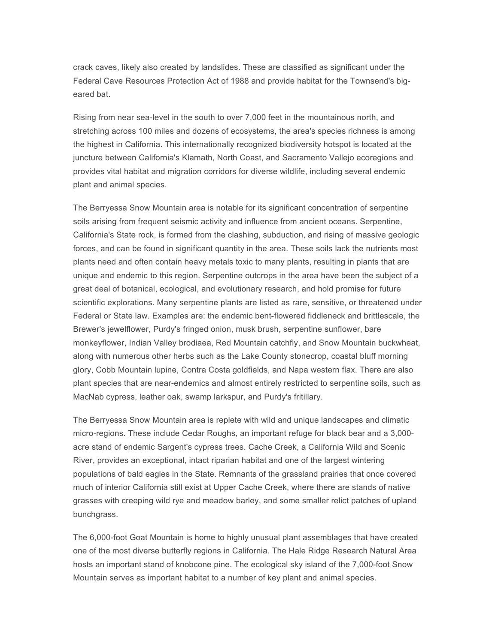crack caves, likely also created by landslides. These are classified as significant under the Federal Cave Resources Protection Act of 1988 and provide habitat for the Townsend's bigeared bat.

Rising from near sea-level in the south to over 7,000 feet in the mountainous north, and stretching across 100 miles and dozens of ecosystems, the area's species richness is among the highest in California. This internationally recognized biodiversity hotspot is located at the juncture between California's Klamath, North Coast, and Sacramento Vallejo ecoregions and provides vital habitat and migration corridors for diverse wildlife, including several endemic plant and animal species.

The Berryessa Snow Mountain area is notable for its significant concentration of serpentine soils arising from frequent seismic activity and influence from ancient oceans. Serpentine, California's State rock, is formed from the clashing, subduction, and rising of massive geologic forces, and can be found in significant quantity in the area. These soils lack the nutrients most plants need and often contain heavy metals toxic to many plants, resulting in plants that are unique and endemic to this region. Serpentine outcrops in the area have been the subject of a great deal of botanical, ecological, and evolutionary research, and hold promise for future scientific explorations. Many serpentine plants are listed as rare, sensitive, or threatened under Federal or State law. Examples are: the endemic bent-flowered fiddleneck and brittlescale, the Brewer's jewelflower, Purdy's fringed onion, musk brush, serpentine sunflower, bare monkeyflower, Indian Valley brodiaea, Red Mountain catchfly, and Snow Mountain buckwheat, along with numerous other herbs such as the Lake County stonecrop, coastal bluff morning glory, Cobb Mountain lupine, Contra Costa goldfields, and Napa western flax. There are also plant species that are near-endemics and almost entirely restricted to serpentine soils, such as MacNab cypress, leather oak, swamp larkspur, and Purdy's fritillary.

The Berryessa Snow Mountain area is replete with wild and unique landscapes and climatic micro-regions. These include Cedar Roughs, an important refuge for black bear and a 3,000 acre stand of endemic Sargent's cypress trees. Cache Creek, a California Wild and Scenic River, provides an exceptional, intact riparian habitat and one of the largest wintering populations of bald eagles in the State. Remnants of the grassland prairies that once covered much of interior California still exist at Upper Cache Creek, where there are stands of native grasses with creeping wild rye and meadow barley, and some smaller relict patches of upland bunchgrass.

The 6,000-foot Goat Mountain is home to highly unusual plant assemblages that have created one of the most diverse butterfly regions in California. The Hale Ridge Research Natural Area hosts an important stand of knobcone pine. The ecological sky island of the 7,000-foot Snow Mountain serves as important habitat to a number of key plant and animal species.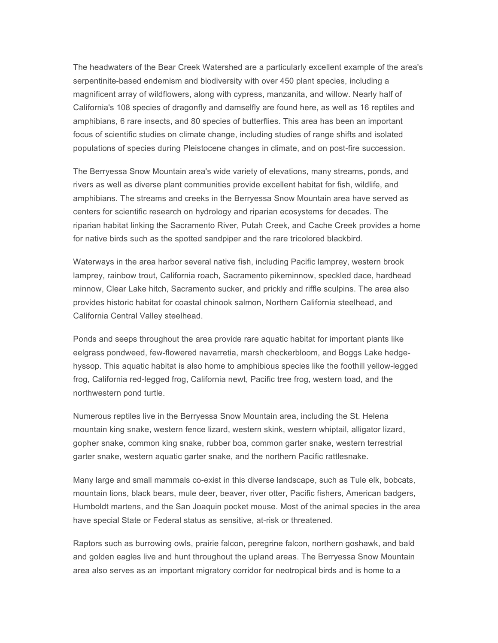The headwaters of the Bear Creek Watershed are a particularly excellent example of the area's serpentinite-based endemism and biodiversity with over 450 plant species, including a magnificent array of wildflowers, along with cypress, manzanita, and willow. Nearly half of California's 108 species of dragonfly and damselfly are found here, as well as 16 reptiles and amphibians, 6 rare insects, and 80 species of butterflies. This area has been an important focus of scientific studies on climate change, including studies of range shifts and isolated populations of species during Pleistocene changes in climate, and on post-fire succession.

The Berryessa Snow Mountain area's wide variety of elevations, many streams, ponds, and rivers as well as diverse plant communities provide excellent habitat for fish, wildlife, and amphibians. The streams and creeks in the Berryessa Snow Mountain area have served as centers for scientific research on hydrology and riparian ecosystems for decades. The riparian habitat linking the Sacramento River, Putah Creek, and Cache Creek provides a home for native birds such as the spotted sandpiper and the rare tricolored blackbird.

Waterways in the area harbor several native fish, including Pacific lamprey, western brook lamprey, rainbow trout, California roach, Sacramento pikeminnow, speckled dace, hardhead minnow, Clear Lake hitch, Sacramento sucker, and prickly and riffle sculpins. The area also provides historic habitat for coastal chinook salmon, Northern California steelhead, and California Central Valley steelhead.

Ponds and seeps throughout the area provide rare aquatic habitat for important plants like eelgrass pondweed, few-flowered navarretia, marsh checkerbloom, and Boggs Lake hedgehyssop. This aquatic habitat is also home to amphibious species like the foothill yellow-legged frog, California red-legged frog, California newt, Pacific tree frog, western toad, and the northwestern pond turtle.

Numerous reptiles live in the Berryessa Snow Mountain area, including the St. Helena mountain king snake, western fence lizard, western skink, western whiptail, alligator lizard, gopher snake, common king snake, rubber boa, common garter snake, western terrestrial garter snake, western aquatic garter snake, and the northern Pacific rattlesnake.

Many large and small mammals co-exist in this diverse landscape, such as Tule elk, bobcats, mountain lions, black bears, mule deer, beaver, river otter, Pacific fishers, American badgers, Humboldt martens, and the San Joaquin pocket mouse. Most of the animal species in the area have special State or Federal status as sensitive, at-risk or threatened.

Raptors such as burrowing owls, prairie falcon, peregrine falcon, northern goshawk, and bald and golden eagles live and hunt throughout the upland areas. The Berryessa Snow Mountain area also serves as an important migratory corridor for neotropical birds and is home to a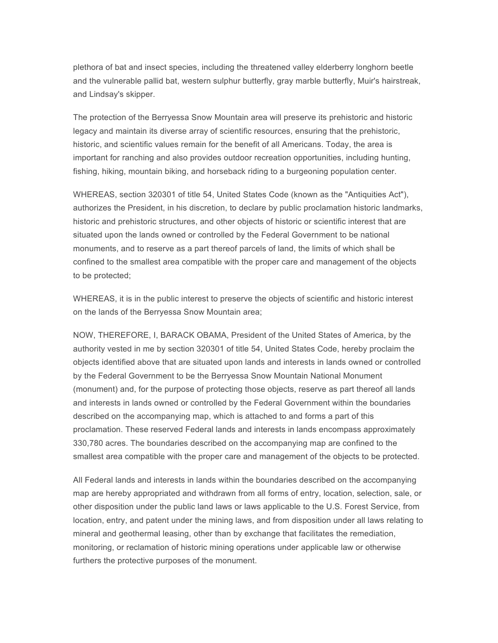plethora of bat and insect species, including the threatened valley elderberry longhorn beetle and the vulnerable pallid bat, western sulphur butterfly, gray marble butterfly, Muir's hairstreak, and Lindsay's skipper.

The protection of the Berryessa Snow Mountain area will preserve its prehistoric and historic legacy and maintain its diverse array of scientific resources, ensuring that the prehistoric, historic, and scientific values remain for the benefit of all Americans. Today, the area is important for ranching and also provides outdoor recreation opportunities, including hunting, fishing, hiking, mountain biking, and horseback riding to a burgeoning population center.

WHEREAS, section 320301 of title 54, United States Code (known as the "Antiquities Act"), authorizes the President, in his discretion, to declare by public proclamation historic landmarks, historic and prehistoric structures, and other objects of historic or scientific interest that are situated upon the lands owned or controlled by the Federal Government to be national monuments, and to reserve as a part thereof parcels of land, the limits of which shall be confined to the smallest area compatible with the proper care and management of the objects to be protected;

WHEREAS, it is in the public interest to preserve the objects of scientific and historic interest on the lands of the Berryessa Snow Mountain area;

NOW, THEREFORE, I, BARACK OBAMA, President of the United States of America, by the authority vested in me by section 320301 of title 54, United States Code, hereby proclaim the objects identified above that are situated upon lands and interests in lands owned or controlled by the Federal Government to be the Berryessa Snow Mountain National Monument (monument) and, for the purpose of protecting those objects, reserve as part thereof all lands and interests in lands owned or controlled by the Federal Government within the boundaries described on the accompanying map, which is attached to and forms a part of this proclamation. These reserved Federal lands and interests in lands encompass approximately 330,780 acres. The boundaries described on the accompanying map are confined to the smallest area compatible with the proper care and management of the objects to be protected.

All Federal lands and interests in lands within the boundaries described on the accompanying map are hereby appropriated and withdrawn from all forms of entry, location, selection, sale, or other disposition under the public land laws or laws applicable to the U.S. Forest Service, from location, entry, and patent under the mining laws, and from disposition under all laws relating to mineral and geothermal leasing, other than by exchange that facilitates the remediation, monitoring, or reclamation of historic mining operations under applicable law or otherwise furthers the protective purposes of the monument.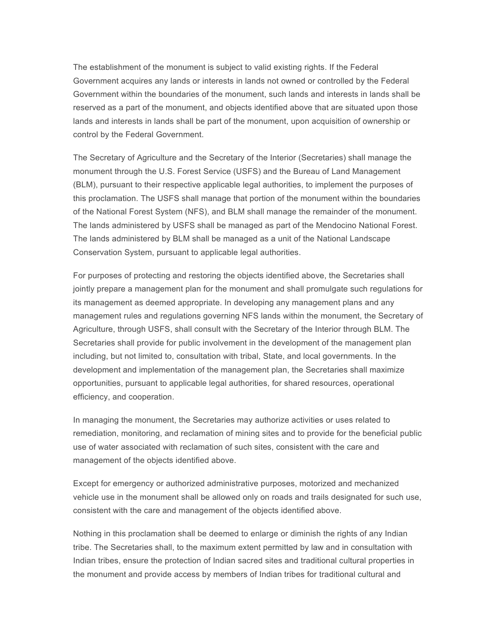The establishment of the monument is subject to valid existing rights. If the Federal Government acquires any lands or interests in lands not owned or controlled by the Federal Government within the boundaries of the monument, such lands and interests in lands shall be reserved as a part of the monument, and objects identified above that are situated upon those lands and interests in lands shall be part of the monument, upon acquisition of ownership or control by the Federal Government.

The Secretary of Agriculture and the Secretary of the Interior (Secretaries) shall manage the monument through the U.S. Forest Service (USFS) and the Bureau of Land Management (BLM), pursuant to their respective applicable legal authorities, to implement the purposes of this proclamation. The USFS shall manage that portion of the monument within the boundaries of the National Forest System (NFS), and BLM shall manage the remainder of the monument. The lands administered by USFS shall be managed as part of the Mendocino National Forest. The lands administered by BLM shall be managed as a unit of the National Landscape Conservation System, pursuant to applicable legal authorities.

For purposes of protecting and restoring the objects identified above, the Secretaries shall jointly prepare a management plan for the monument and shall promulgate such regulations for its management as deemed appropriate. In developing any management plans and any management rules and regulations governing NFS lands within the monument, the Secretary of Agriculture, through USFS, shall consult with the Secretary of the Interior through BLM. The Secretaries shall provide for public involvement in the development of the management plan including, but not limited to, consultation with tribal, State, and local governments. In the development and implementation of the management plan, the Secretaries shall maximize opportunities, pursuant to applicable legal authorities, for shared resources, operational efficiency, and cooperation.

In managing the monument, the Secretaries may authorize activities or uses related to remediation, monitoring, and reclamation of mining sites and to provide for the beneficial public use of water associated with reclamation of such sites, consistent with the care and management of the objects identified above.

Except for emergency or authorized administrative purposes, motorized and mechanized vehicle use in the monument shall be allowed only on roads and trails designated for such use, consistent with the care and management of the objects identified above.

Nothing in this proclamation shall be deemed to enlarge or diminish the rights of any Indian tribe. The Secretaries shall, to the maximum extent permitted by law and in consultation with Indian tribes, ensure the protection of Indian sacred sites and traditional cultural properties in the monument and provide access by members of Indian tribes for traditional cultural and